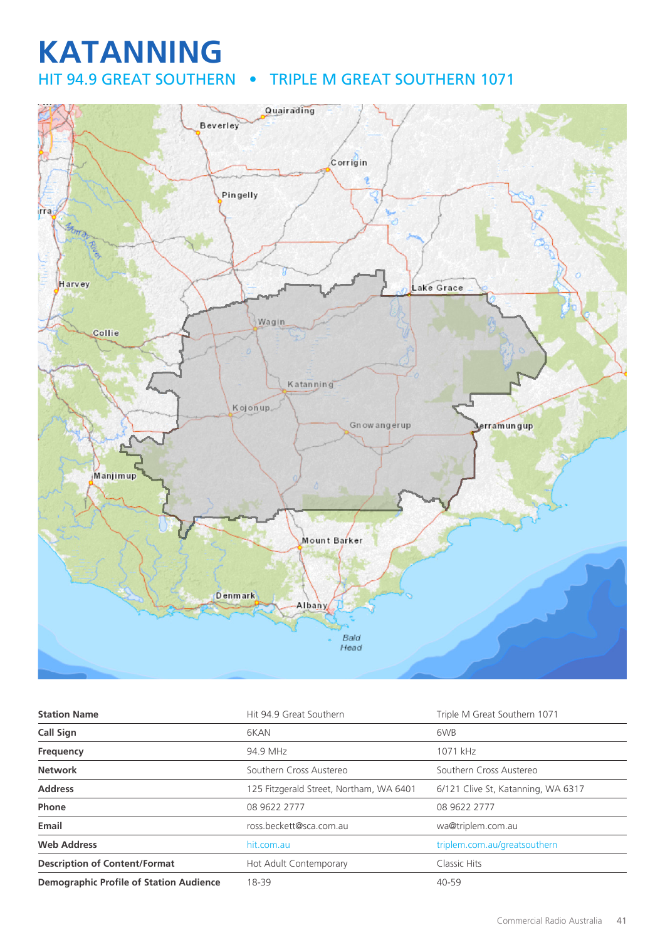## **KATANNING** HIT 94.9 GREAT SOUTHERN • TRIPLE M GREAT SOUTHERN 1071



| <b>Station Name</b>                            | Hit 94.9 Great Southern                 | Triple M Great Southern 1071       |
|------------------------------------------------|-----------------------------------------|------------------------------------|
| Call Sign                                      | 6KAN                                    | 6WB                                |
| Frequency                                      | 94.9 MHz                                | 1071 kHz                           |
| <b>Network</b>                                 | Southern Cross Austereo                 | Southern Cross Austereo            |
| <b>Address</b>                                 | 125 Fitzgerald Street, Northam, WA 6401 | 6/121 Clive St, Katanning, WA 6317 |
| Phone                                          | 08 9622 2777                            | 08 9622 2777                       |
| Email                                          | ross.beckett@sca.com.au                 | wa@triplem.com.au                  |
| <b>Web Address</b>                             | hit.com.au                              | triplem.com.au/greatsouthern       |
| <b>Description of Content/Format</b>           | Hot Adult Contemporary                  | Classic Hits                       |
| <b>Demographic Profile of Station Audience</b> | 18-39                                   | 40-59                              |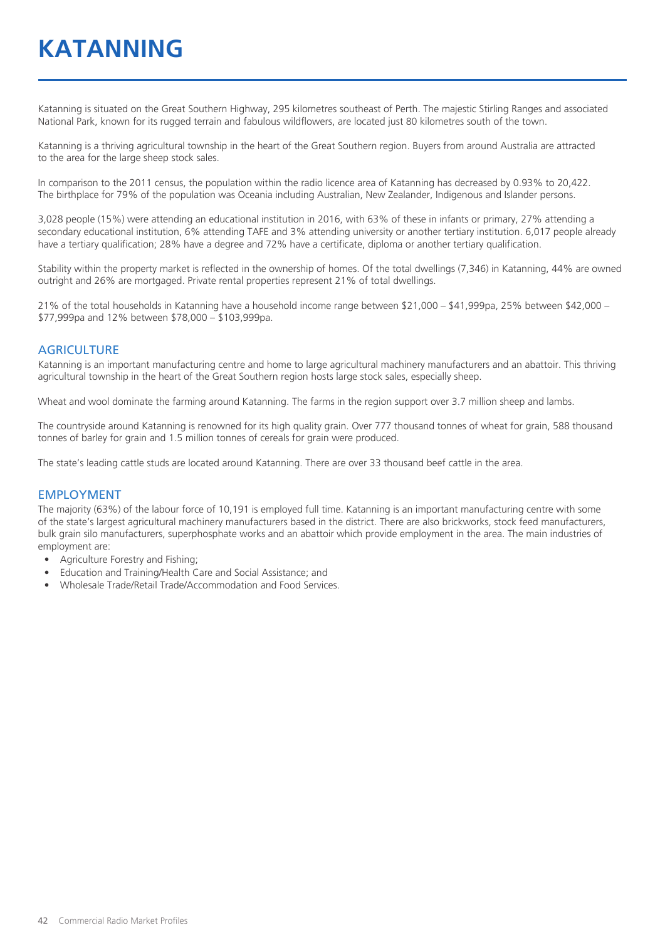# **KATANNING**

Katanning is situated on the Great Southern Highway, 295 kilometres southeast of Perth. The majestic Stirling Ranges and associated National Park, known for its rugged terrain and fabulous wildflowers, are located just 80 kilometres south of the town.

Katanning is a thriving agricultural township in the heart of the Great Southern region. Buyers from around Australia are attracted to the area for the large sheep stock sales.

In comparison to the 2011 census, the population within the radio licence area of Katanning has decreased by 0.93% to 20,422. The birthplace for 79% of the population was Oceania including Australian, New Zealander, Indigenous and Islander persons.

3,028 people (15%) were attending an educational institution in 2016, with 63% of these in infants or primary, 27% attending a secondary educational institution, 6% attending TAFE and 3% attending university or another tertiary institution. 6,017 people already have a tertiary qualification; 28% have a degree and 72% have a certificate, diploma or another tertiary qualification.

Stability within the property market is reflected in the ownership of homes. Of the total dwellings (7,346) in Katanning, 44% are owned outright and 26% are mortgaged. Private rental properties represent 21% of total dwellings.

21% of the total households in Katanning have a household income range between \$21,000 – \$41,999pa, 25% between \$42,000 – \$77,999pa and 12% between \$78,000 – \$103,999pa.

#### **AGRICULTURE**

Katanning is an important manufacturing centre and home to large agricultural machinery manufacturers and an abattoir. This thriving agricultural township in the heart of the Great Southern region hosts large stock sales, especially sheep.

Wheat and wool dominate the farming around Katanning. The farms in the region support over 3.7 million sheep and lambs.

The countryside around Katanning is renowned for its high quality grain. Over 777 thousand tonnes of wheat for grain, 588 thousand tonnes of barley for grain and 1.5 million tonnes of cereals for grain were produced.

The state's leading cattle studs are located around Katanning. There are over 33 thousand beef cattle in the area.

#### EMPLOYMENT

The majority (63%) of the labour force of 10,191 is employed full time. Katanning is an important manufacturing centre with some of the state's largest agricultural machinery manufacturers based in the district. There are also brickworks, stock feed manufacturers, bulk grain silo manufacturers, superphosphate works and an abattoir which provide employment in the area. The main industries of employment are:

- Agriculture Forestry and Fishing;
- Education and Training/Health Care and Social Assistance; and
- Wholesale Trade/Retail Trade/Accommodation and Food Services.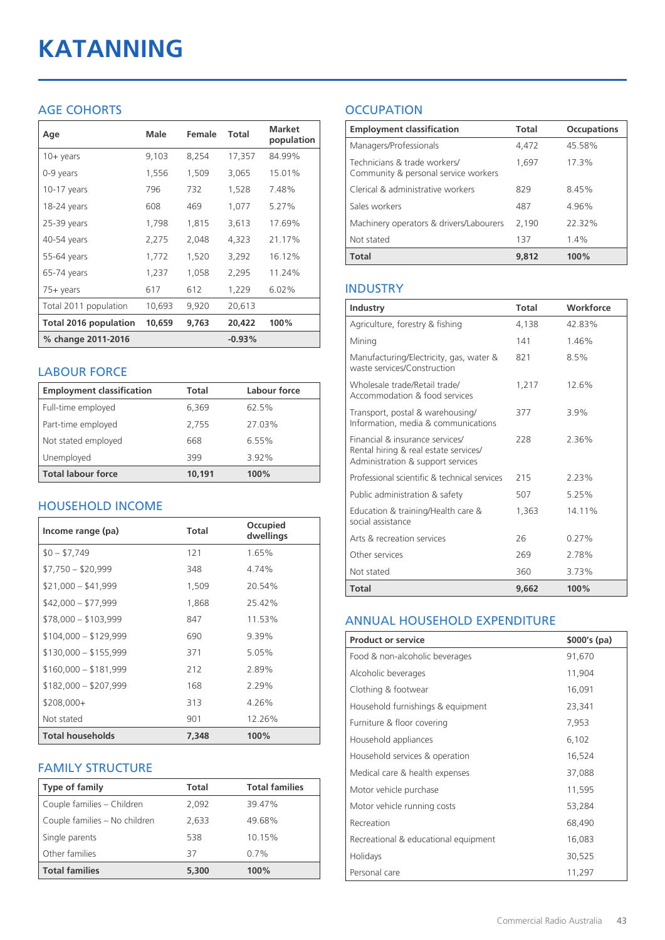# **KATANNING**

## AGE COHORTS

| Age                          | Male   | Female | Total    | <b>Market</b><br>population |
|------------------------------|--------|--------|----------|-----------------------------|
| $10 + \gamma$ ears           | 9,103  | 8,254  | 17,357   | 84.99%                      |
| 0-9 years                    | 1,556  | 1,509  | 3,065    | 15.01%                      |
| 10-17 years                  | 796    | 732    | 1,528    | 7.48%                       |
| 18-24 years                  | 608    | 469    | 1,077    | 5.27%                       |
| $25-39$ years                | 1,798  | 1,815  | 3,613    | 17.69%                      |
| 40-54 years                  | 2,275  | 2,048  | 4,323    | 21.17%                      |
| 55-64 years                  | 1,772  | 1,520  | 3,292    | 16.12%                      |
| 65-74 years                  | 1,237  | 1,058  | 2,295    | 11.24%                      |
| 75+ years                    | 617    | 612    | 1,229    | 6.02%                       |
| Total 2011 population        | 10,693 | 9,920  | 20,613   |                             |
| <b>Total 2016 population</b> | 10,659 | 9,763  | 20,422   | 100%                        |
| % change 2011-2016           |        |        | $-0.93%$ |                             |

#### LABOUR FORCE

| <b>Employment classification</b> | <b>Total</b> | Labour force |
|----------------------------------|--------------|--------------|
| Full-time employed               | 6,369        | 62.5%        |
| Part-time employed               | 2,755        | 27.03%       |
| Not stated employed              | 668          | 6.55%        |
| Unemployed                       | 399          | 3.92%        |
| <b>Total labour force</b>        | 10.191       | 100%         |

## HOUSEHOLD INCOME

| Income range (pa)       | Total | Occupied<br>dwellings |
|-------------------------|-------|-----------------------|
| $$0 - $7,749$           | 121   | 1.65%                 |
| $$7,750 - $20,999$      | 348   | 4.74%                 |
| $$21,000 - $41,999$     | 1,509 | 20.54%                |
| $$42,000 - $77,999$     | 1,868 | 25.42%                |
| $$78,000 - $103,999$    | 847   | 11.53%                |
| $$104,000 - $129,999$   | 690   | 9.39%                 |
| $$130,000 - $155,999$   | 371   | 5.05%                 |
| $$160,000 - $181,999$   | 212   | 2.89%                 |
| $$182,000 - $207,999$   | 168   | 2.29%                 |
| $$208,000+$             | 313   | 4.26%                 |
| Not stated              | 901   | 12.26%                |
| <b>Total households</b> | 7,348 | 100%                  |

## FAMILY STRUCTURE

| <b>Type of family</b>         | <b>Total</b> | <b>Total families</b> |
|-------------------------------|--------------|-----------------------|
| Couple families - Children    | 2,092        | 39.47%                |
| Couple families - No children | 2,633        | 49.68%                |
| Single parents                | 538          | 10.15%                |
| Other families                | 37           | 0.7%                  |
| <b>Total families</b>         | 5,300        | 100%                  |

## **OCCUPATION**

| <b>Employment classification</b>                                     | Total | <b>Occupations</b> |
|----------------------------------------------------------------------|-------|--------------------|
| Managers/Professionals                                               | 4,472 | 45.58%             |
| Technicians & trade workers/<br>Community & personal service workers | 1,697 | 17.3%              |
| Clerical & administrative workers                                    | 829   | 8.45%              |
| Sales workers                                                        | 487   | 4.96%              |
| Machinery operators & drivers/Labourers                              | 2,190 | 22.32%             |
| Not stated                                                           | 137   | $1.4\%$            |
| <b>Total</b>                                                         | 9,812 | 100%               |

## INDUSTRY

| Industry                                                                                                      | Total | Workforce |
|---------------------------------------------------------------------------------------------------------------|-------|-----------|
| Agriculture, forestry & fishing                                                                               | 4,138 | 42.83%    |
| Mining                                                                                                        | 141   | 1.46%     |
| Manufacturing/Electricity, gas, water &<br>waste services/Construction                                        | 821   | 8.5%      |
| Wholesale trade/Retail trade/<br>Accommodation & food services                                                | 1,217 | 12.6%     |
| Transport, postal & warehousing/<br>Information, media & communications                                       | 377   | 3.9%      |
| Financial & insurance services/<br>Rental hiring & real estate services/<br>Administration & support services | 228   | 2.36%     |
| Professional scientific & technical services                                                                  | 215   | 2.23%     |
| Public administration & safety                                                                                | 507   | 5.25%     |
| Education & training/Health care &<br>social assistance                                                       | 1,363 | 14.11%    |
| Arts & recreation services                                                                                    | 26    | 0.27%     |
| Other services                                                                                                | 269   | 2.78%     |
| Not stated                                                                                                    | 360   | 3.73%     |
| <b>Total</b>                                                                                                  | 9,662 | 100%      |

## ANNUAL HOUSEHOLD EXPENDITURE

| <b>Product or service</b>            | $$000's$ (pa) |
|--------------------------------------|---------------|
| Food & non-alcoholic beverages       | 91,670        |
| Alcoholic beverages                  | 11,904        |
| Clothing & footwear                  | 16,091        |
| Household furnishings & equipment    | 23,341        |
| Furniture & floor covering           | 7,953         |
| Household appliances                 | 6,102         |
| Household services & operation       | 16,524        |
| Medical care & health expenses       | 37,088        |
| Motor vehicle purchase               | 11,595        |
| Motor vehicle running costs          | 53,284        |
| Recreation                           | 68,490        |
| Recreational & educational equipment | 16,083        |
| Holidays                             | 30,525        |
| Personal care                        | 11,297        |